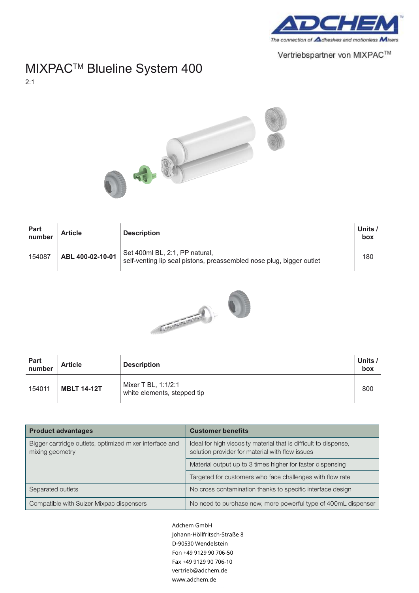

Vertriebspartner von MIXPAC™

## MIXPAC™ Blueline System 400

2:1



| Part<br>number | <b>Article</b>   | <b>Description</b>                                                                                     | Units /<br>box |
|----------------|------------------|--------------------------------------------------------------------------------------------------------|----------------|
| 154087         | ABL 400-02-10-01 | Set 400ml BL, 2:1, PP natural,<br>self-venting lip seal pistons, preassembled nose plug, bigger outlet | 180            |



| Part<br>number | <b>Article</b>     | <b>Description</b>                                 | Units /<br>box |
|----------------|--------------------|----------------------------------------------------|----------------|
| 154011         | <b>MBLT 14-12T</b> | Mixer T BL, 1:1/2:1<br>white elements, stepped tip | 800            |

| <b>Product advantages</b>                                                  | <b>Customer benefits</b>                                                                                            |
|----------------------------------------------------------------------------|---------------------------------------------------------------------------------------------------------------------|
| Bigger cartridge outlets, optimized mixer interface and<br>mixing geometry | Ideal for high viscosity material that is difficult to dispense,<br>solution provider for material with flow issues |
|                                                                            | Material output up to 3 times higher for faster dispensing                                                          |
|                                                                            | Targeted for customers who face challenges with flow rate                                                           |
| Separated outlets                                                          | No cross contamination thanks to specific interface design                                                          |
| Compatible with Sulzer Mixpac dispensers                                   | No need to purchase new, more powerful type of 400mL dispenser                                                      |

*.*<br>D-90530 Wendelstein Fon +49 9129 90 706-50 Fax +49 9129 90 706-10 vertrieb@adchem.de Adchem GmbH Johann-Höllfritsch-Straße 8 www.adchem.de